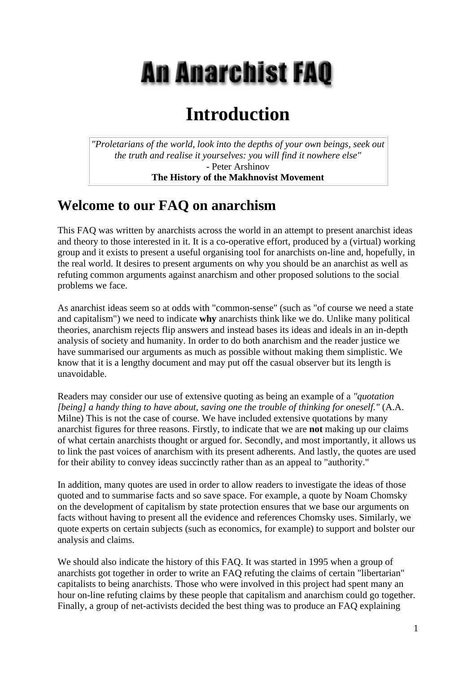## **An Anarchist FAQ**

## **Introduction**

*"Proletarians of the world, look into the depths of your own beings, seek out the truth and realise it yourselves: you will find it nowhere else"* - Peter Arshinov **The History of the Makhnovist Movement**

## **Welcome to our FAQ on anarchism**

This FAQ was written by anarchists across the world in an attempt to present anarchist ideas and theory to those interested in it. It is a co-operative effort, produced by a (virtual) working group and it exists to present a useful organising tool for anarchists on-line and, hopefully, in the real world. It desires to present arguments on why you should be an anarchist as well as refuting common arguments against anarchism and other proposed solutions to the social problems we face.

As anarchist ideas seem so at odds with "common-sense" (such as "of course we need a state and capitalism") we need to indicate **why** anarchists think like we do. Unlike many political theories, anarchism rejects flip answers and instead bases its ideas and ideals in an in-depth analysis of society and humanity. In order to do both anarchism and the reader justice we have summarised our arguments as much as possible without making them simplistic. We know that it is a lengthy document and may put off the casual observer but its length is unavoidable.

Readers may consider our use of extensive quoting as being an example of a *"quotation [being] a handy thing to have about, saving one the trouble of thinking for oneself."* (A.A. Milne) This is not the case of course. We have included extensive quotations by many anarchist figures for three reasons. Firstly, to indicate that we are **not** making up our claims of what certain anarchists thought or argued for. Secondly, and most importantly, it allows us to link the past voices of anarchism with its present adherents. And lastly, the quotes are used for their ability to convey ideas succinctly rather than as an appeal to "authority."

In addition, many quotes are used in order to allow readers to investigate the ideas of those quoted and to summarise facts and so save space. For example, a quote by Noam Chomsky on the development of capitalism by state protection ensures that we base our arguments on facts without having to present all the evidence and references Chomsky uses. Similarly, we quote experts on certain subjects (such as economics, for example) to support and bolster our analysis and claims.

We should also indicate the history of this FAQ. It was started in 1995 when a group of anarchists got together in order to write an FAQ refuting the claims of certain "libertarian" capitalists to being anarchists. Those who were involved in this project had spent many an hour on-line refuting claims by these people that capitalism and anarchism could go together. Finally, a group of net-activists decided the best thing was to produce an FAQ explaining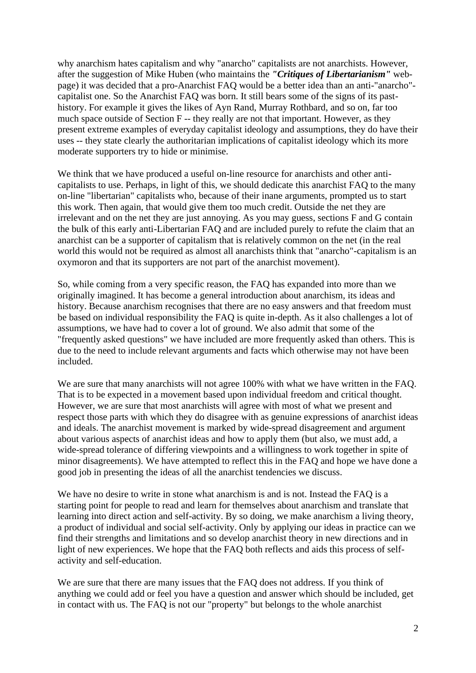why anarchism hates capitalism and why "anarcho" capitalists are not anarchists. However, after the suggestion of Mike Huben (who maintains the *"Critiques of Libertarianism"* webpage) it was decided that a pro-Anarchist FAQ would be a better idea than an anti-"anarcho" capitalist one. So the Anarchist FAQ was born. It still bears some of the signs of its pasthistory. For example it gives the likes of Ayn Rand, Murray Rothbard, and so on, far too much space outside of Section F -- they really are not that important. However, as they present extreme examples of everyday capitalist ideology and assumptions, they do have their uses -- they state clearly the authoritarian implications of capitalist ideology which its more moderate supporters try to hide or minimise.

We think that we have produced a useful on-line resource for anarchists and other anticapitalists to use. Perhaps, in light of this, we should dedicate this anarchist FAQ to the many on-line "libertarian" capitalists who, because of their inane arguments, prompted us to start this work. Then again, that would give them too much credit. Outside the net they are irrelevant and on the net they are just annoying. As you may guess, sections F and G contain the bulk of this early anti-Libertarian FAQ and are included purely to refute the claim that an anarchist can be a supporter of capitalism that is relatively common on the net (in the real world this would not be required as almost all anarchists think that "anarcho"-capitalism is an oxymoron and that its supporters are not part of the anarchist movement).

So, while coming from a very specific reason, the FAQ has expanded into more than we originally imagined. It has become a general introduction about anarchism, its ideas and history. Because anarchism recognises that there are no easy answers and that freedom must be based on individual responsibility the FAQ is quite in-depth. As it also challenges a lot of assumptions, we have had to cover a lot of ground. We also admit that some of the "frequently asked questions" we have included are more frequently asked than others. This is due to the need to include relevant arguments and facts which otherwise may not have been included.

We are sure that many anarchists will not agree 100% with what we have written in the FAQ. That is to be expected in a movement based upon individual freedom and critical thought. However, we are sure that most anarchists will agree with most of what we present and respect those parts with which they do disagree with as genuine expressions of anarchist ideas and ideals. The anarchist movement is marked by wide-spread disagreement and argument about various aspects of anarchist ideas and how to apply them (but also, we must add, a wide-spread tolerance of differing viewpoints and a willingness to work together in spite of minor disagreements). We have attempted to reflect this in the FAQ and hope we have done a good job in presenting the ideas of all the anarchist tendencies we discuss.

We have no desire to write in stone what anarchism is and is not. Instead the FAQ is a starting point for people to read and learn for themselves about anarchism and translate that learning into direct action and self-activity. By so doing, we make anarchism a living theory, a product of individual and social self-activity. Only by applying our ideas in practice can we find their strengths and limitations and so develop anarchist theory in new directions and in light of new experiences. We hope that the FAQ both reflects and aids this process of selfactivity and self-education.

We are sure that there are many issues that the FAQ does not address. If you think of anything we could add or feel you have a question and answer which should be included, get in contact with us. The FAQ is not our "property" but belongs to the whole anarchist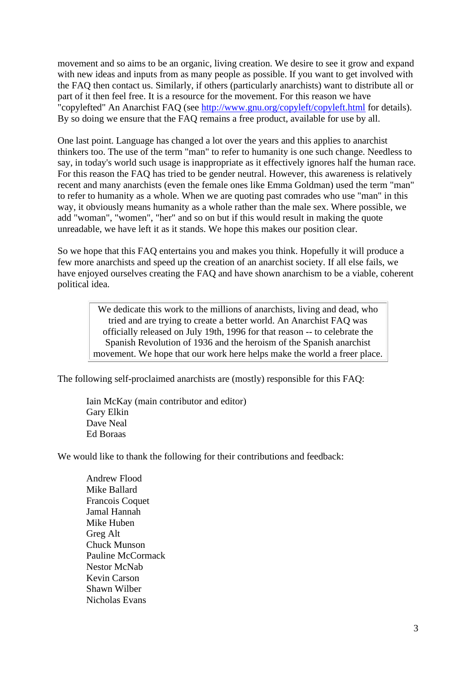movement and so aims to be an organic, living creation. We desire to see it grow and expand with new ideas and inputs from as many people as possible. If you want to get involved with the FAQ then contact us. Similarly, if others (particularly anarchists) want to distribute all or part of it then feel free. It is a resource for the movement. For this reason we have "copylefted" An Anarchist FAQ (see<http://www.gnu.org/copyleft/copyleft.html> for details). By so doing we ensure that the FAQ remains a free product, available for use by all.

One last point. Language has changed a lot over the years and this applies to anarchist thinkers too. The use of the term "man" to refer to humanity is one such change. Needless to say, in today's world such usage is inappropriate as it effectively ignores half the human race. For this reason the FAQ has tried to be gender neutral. However, this awareness is relatively recent and many anarchists (even the female ones like Emma Goldman) used the term "man" to refer to humanity as a whole. When we are quoting past comrades who use "man" in this way, it obviously means humanity as a whole rather than the male sex. Where possible, we add "woman", "women", "her" and so on but if this would result in making the quote unreadable, we have left it as it stands. We hope this makes our position clear.

So we hope that this FAQ entertains you and makes you think. Hopefully it will produce a few more anarchists and speed up the creation of an anarchist society. If all else fails, we have enjoyed ourselves creating the FAQ and have shown anarchism to be a viable, coherent political idea.

We dedicate this work to the millions of anarchists, living and dead, who tried and are trying to create a better world. An Anarchist FAQ was officially released on July 19th, 1996 for that reason -- to celebrate the Spanish Revolution of 1936 and the heroism of the Spanish anarchist movement. We hope that our work here helps make the world a freer place.

The following self-proclaimed anarchists are (mostly) responsible for this FAQ:

Iain McKay (main contributor and editor) Gary Elkin Dave Neal Ed Boraas

We would like to thank the following for their contributions and feedback:

Andrew Flood Mike Ballard Francois Coquet Jamal Hannah Mike Huben Greg Alt Chuck Munson Pauline McCormack Nestor McNab Kevin Carson Shawn Wilber Nicholas Evans